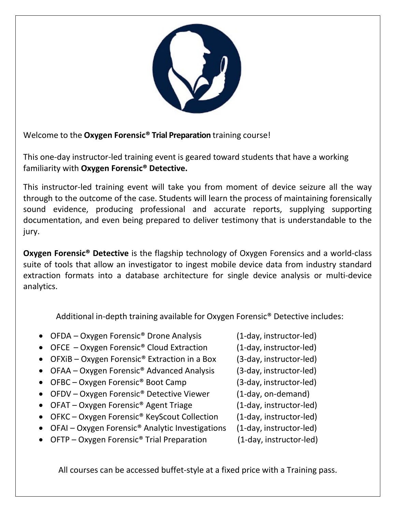

Welcome to the **Oxygen Forensic® Trial Preparation** training course!

This one‐day instructor‐led training event is geared toward students that have a working familiarity with **Oxygen Forensic® Detective.**

This instructor-led training event will take you from moment of device seizure all the way through to the outcome of the case. Students will learn the process of maintaining forensically sound evidence, producing professional and accurate reports, supplying supporting documentation, and even being prepared to deliver testimony that is understandable to the jury.

**Oxygen Forensic<sup>®</sup> Detective** is the flagship technology of Oxygen Forensics and a world-class suite of tools that allow an investigator to ingest mobile device data from industry standard extraction formats into a database architecture for single device analysis or multi‐device analytics.

Additional in-depth training available for Oxygen Forensic<sup>®</sup> Detective includes:

- OFDA Oxygen Forensic® Drone Analysis (1‐day, instructor‐led)
- OFCE Oxygen Forensic® Cloud Extraction (1‐day, instructor‐led)
- OFXiB Oxygen Forensic® Extraction in a Box (3‐day, instructor‐led)
- OFAA Oxygen Forensic® Advanced Analysis (3‐day, instructor‐led)
- OFBC Oxygen Forensic® Boot Camp (3‐day, instructor‐led)
- OFDV Oxygen Forensic<sup>®</sup> Detective Viewer (1-day, on-demand)
- OFAT Oxygen Forensic<sup>®</sup> Agent Triage (1-day, instructor-led)
- OFKC Oxygen Forensic<sup>®</sup> KeyScout Collection (1-day, instructor-led)
- OFAI Oxygen Forensic® Analytic Investigations (1‐day, instructor‐led)
- OFTP Oxygen Forensic® Trial Preparation (1‐day, instructor‐led)
- 
- 
- 
- 
- 
- 
- 
- 
- 
- 

All courses can be accessed buffet‐style at a fixed price with a Training pass.